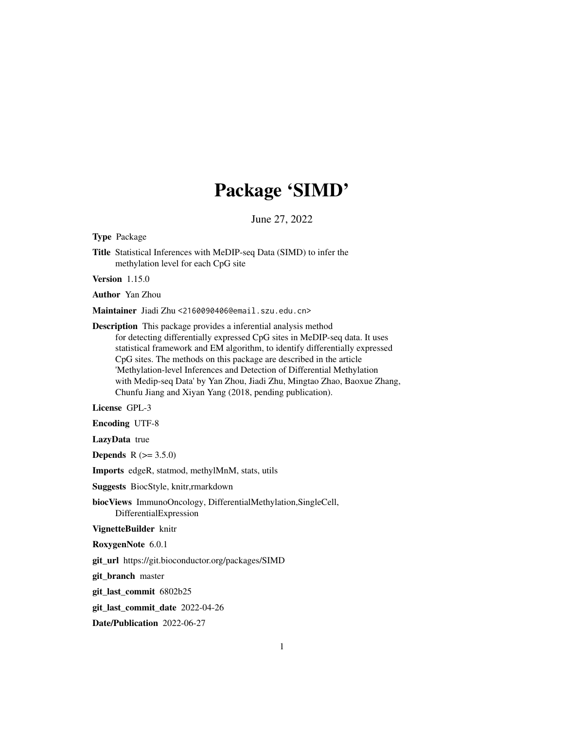## Package 'SIMD'

June 27, 2022

Type Package

Title Statistical Inferences with MeDIP-seq Data (SIMD) to infer the methylation level for each CpG site

Version 1.15.0

Author Yan Zhou

Maintainer Jiadi Zhu <2160090406@email.szu.edu.cn>

Description This package provides a inferential analysis method for detecting differentially expressed CpG sites in MeDIP-seq data. It uses statistical framework and EM algorithm, to identify differentially expressed CpG sites. The methods on this package are described in the article 'Methylation-level Inferences and Detection of Differential Methylation with Medip-seq Data' by Yan Zhou, Jiadi Zhu, Mingtao Zhao, Baoxue Zhang, Chunfu Jiang and Xiyan Yang (2018, pending publication).

License GPL-3

Encoding UTF-8

LazyData true

**Depends** R  $(>= 3.5.0)$ 

Imports edgeR, statmod, methylMnM, stats, utils

Suggests BiocStyle, knitr,rmarkdown

biocViews ImmunoOncology, DifferentialMethylation,SingleCell, DifferentialExpression

VignetteBuilder knitr

RoxygenNote 6.0.1

git\_url https://git.bioconductor.org/packages/SIMD

git\_branch master

git\_last\_commit 6802b25

git\_last\_commit\_date 2022-04-26

Date/Publication 2022-06-27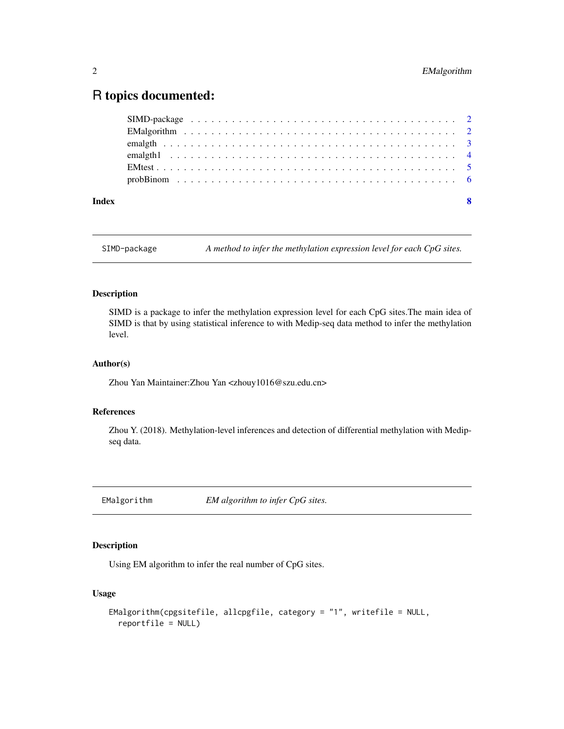### <span id="page-1-0"></span>R topics documented:

| Index | - 8 |
|-------|-----|

SIMD-package *A method to infer the methylation expression level for each CpG sites.*

#### Description

SIMD is a package to infer the methylation expression level for each CpG sites.The main idea of SIMD is that by using statistical inference to with Medip-seq data method to infer the methylation level.

#### Author(s)

Zhou Yan Maintainer: Zhou Yan <zhouy1016@szu.edu.cn>

#### References

Zhou Y. (2018). Methylation-level inferences and detection of differential methylation with Medipseq data.

EMalgorithm *EM algorithm to infer CpG sites.*

#### **Description**

Using EM algorithm to infer the real number of CpG sites.

#### Usage

```
EMalgorithm(cpgsitefile, allcpgfile, category = "1", writefile = NULL,
  reportfile = NULL)
```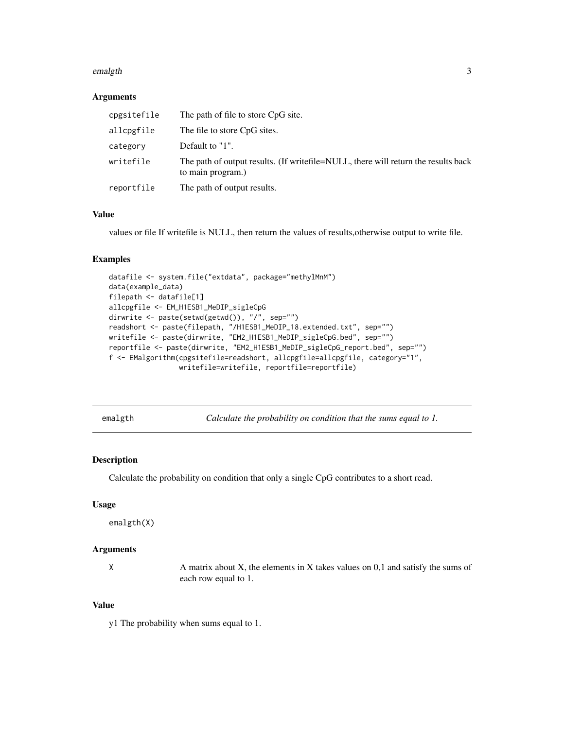#### <span id="page-2-0"></span>emalgth 3

#### Arguments

| cpgsitefile | The path of file to store CpG site.                                                                        |
|-------------|------------------------------------------------------------------------------------------------------------|
| allcpgfile  | The file to store CpG sites.                                                                               |
| category    | Default to "1".                                                                                            |
| writefile   | The path of output results. (If write file = NULL, there will return the results back<br>to main program.) |
| reportfile  | The path of output results.                                                                                |

#### Value

values or file If writefile is NULL, then return the values of results,otherwise output to write file.

#### Examples

```
datafile <- system.file("extdata", package="methylMnM")
data(example_data)
filepath <- datafile[1]
allcpgfile <- EM_H1ESB1_MeDIP_sigleCpG
dirwrite <- paste(setwd(getwd()), "/", sep="")
readshort <- paste(filepath, "/H1ESB1_MeDIP_18.extended.txt", sep="")
writefile <- paste(dirwrite, "EM2_H1ESB1_MeDIP_sigleCpG.bed", sep="")
reportfile <- paste(dirwrite, "EM2_H1ESB1_MeDIP_sigleCpG_report.bed", sep="")
f <- EMalgorithm(cpgsitefile=readshort, allcpgfile=allcpgfile, category="1",
                 writefile=writefile, reportfile=reportfile)
```

| emalgth |  |  |
|---------|--|--|
|         |  |  |

Calculate the probability on condition that the sums equal to 1.

#### Description

Calculate the probability on condition that only a single CpG contributes to a short read.

#### Usage

emalgth(X)

#### Arguments

X A matrix about X, the elements in X takes values on 0,1 and satisfy the sums of each row equal to 1.

#### Value

y1 The probability when sums equal to 1.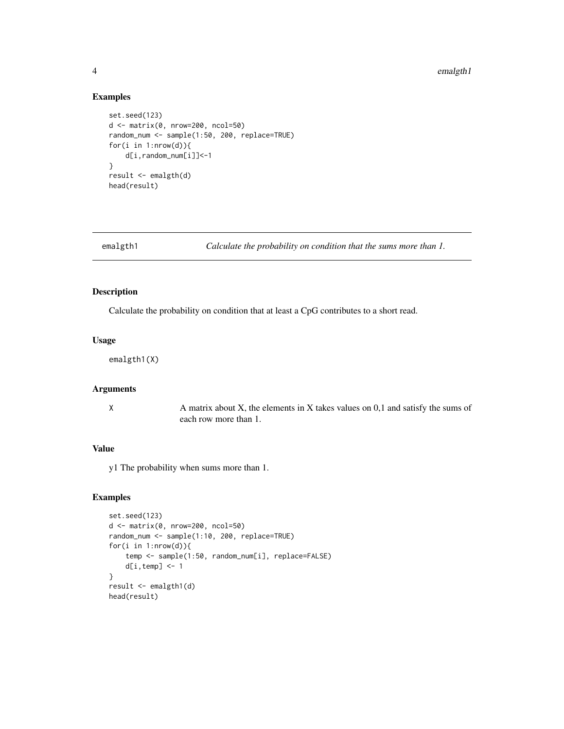#### 4 emalgth1 emalgth1 emalgth1 emalgth1 emalgth1 emalgth1 emalgth1 emalgth1 emalgth1 emalgth1 emalgth1 emalgth1 emalgth1 emalgth1 emalgth1 emalgth1 emalgth1 emalgth1 emalgth1 emailgth1 emailgth1 emailgth1 emailgth1 emailgth1

#### Examples

```
set.seed(123)
d <- matrix(0, nrow=200, ncol=50)
random_num <- sample(1:50, 200, replace=TRUE)
for(i in 1:nrow(d)){
   d[i,random_num[i]]<-1
}
result <- emalgth(d)
head(result)
```
emalgth1 *Calculate the probability on condition that the sums more than 1.*

#### Description

Calculate the probability on condition that at least a CpG contributes to a short read.

#### Usage

emalgth1(X)

#### Arguments

X A matrix about X, the elements in X takes values on 0,1 and satisfy the sums of each row more than 1.

#### Value

y1 The probability when sums more than 1.

#### Examples

```
set.seed(123)
d <- matrix(0, nrow=200, ncol=50)
random_num <- sample(1:10, 200, replace=TRUE)
for(i in 1:nrow(d)){
    temp <- sample(1:50, random_num[i], replace=FALSE)
   d[i, temp] < -1}
result <- emalgth1(d)
head(result)
```
<span id="page-3-0"></span>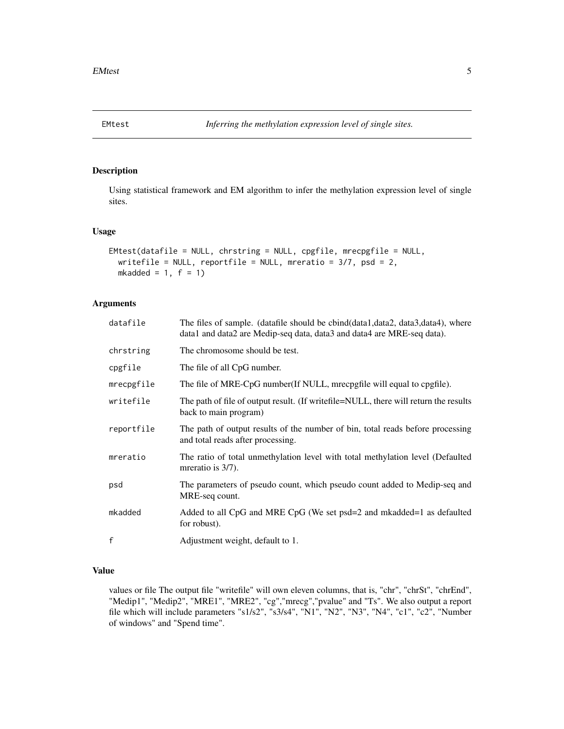<span id="page-4-0"></span>

#### Description

Using statistical framework and EM algorithm to infer the methylation expression level of single sites.

#### Usage

```
EMtest(datafile = NULL, chrstring = NULL, cpgfile, mrecpgfile = NULL,
 writefile = NULL, reportfile = NULL, mreratio = 3/7, psd = 2,
 mkadded = 1, f = 1)
```
#### Arguments

| datafile   | The files of sample. (datafile should be cbind(data1,data2, data3,data4), where<br>data1 and data2 are Medip-seq data, data3 and data4 are MRE-seq data). |
|------------|-----------------------------------------------------------------------------------------------------------------------------------------------------------|
| chrstring  | The chromosome should be test.                                                                                                                            |
| cpgfile    | The file of all CpG number.                                                                                                                               |
| mrecpgfile | The file of MRE-CpG number (If NULL, mrecpgfile will equal to cpgfile).                                                                                   |
| writefile  | The path of file of output result. (If write file = NULL, there will return the results<br>back to main program)                                          |
| reportfile | The path of output results of the number of bin, total reads before processing<br>and total reads after processing.                                       |
| mreratio   | The ratio of total unmethylation level with total methylation level (Defaulted<br>mreratio is $3/7$ ).                                                    |
| psd        | The parameters of pseudo count, which pseudo count added to Medip-seq and<br>MRE-seq count.                                                               |
| mkadded    | Added to all CpG and MRE CpG (We set psd=2 and mkadded=1 as defaulted<br>for robust).                                                                     |
| f          | Adjustment weight, default to 1.                                                                                                                          |
|            |                                                                                                                                                           |

#### Value

values or file The output file "writefile" will own eleven columns, that is, "chr", "chrSt", "chrEnd", "Medip1", "Medip2", "MRE1", "MRE2", "cg","mrecg","pvalue" and "Ts". We also output a report file which will include parameters "s1/s2", "s3/s4", "N1", "N2", "N3", "N4", "c1", "c2", "Number of windows" and "Spend time".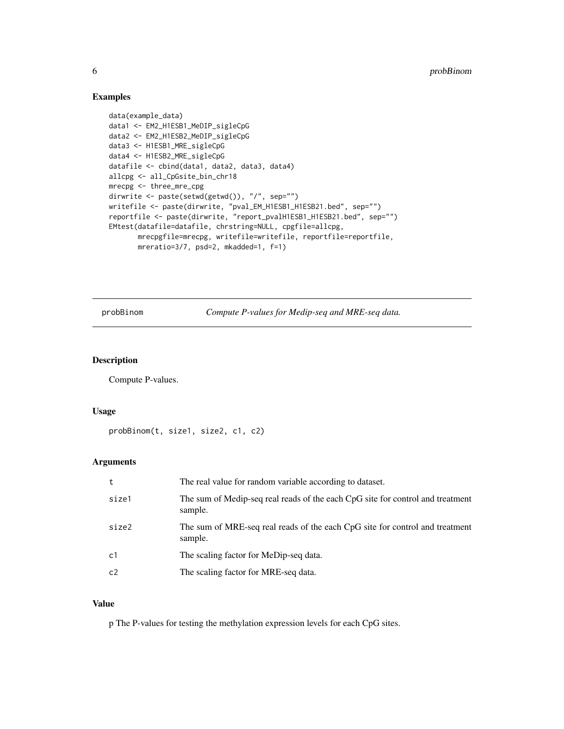#### Examples

```
data(example_data)
data1 <- EM2_H1ESB1_MeDIP_sigleCpG
data2 <- EM2_H1ESB2_MeDIP_sigleCpG
data3 <- H1ESB1_MRE_sigleCpG
data4 <- H1ESB2_MRE_sigleCpG
datafile <- cbind(data1, data2, data3, data4)
allcpg <- all_CpGsite_bin_chr18
mrecpg <- three_mre_cpg
dirwrite <- paste(setwd(getwd()), "/", sep="")
writefile <- paste(dirwrite, "pval_EM_H1ESB1_H1ESB21.bed", sep="")
reportfile <- paste(dirwrite, "report_pvalH1ESB1_H1ESB21.bed", sep="")
EMtest(datafile=datafile, chrstring=NULL, cpgfile=allcpg,
       mrecpgfile=mrecpg, writefile=writefile, reportfile=reportfile,
       mreratio=3/7, psd=2, mkadded=1, f=1)
```
probBinom *Compute P-values for Medip-seq and MRE-seq data.*

#### Description

Compute P-values.

#### Usage

```
probBinom(t, size1, size2, c1, c2)
```
#### Arguments

| t     | The real value for random variable according to dataset.                                  |
|-------|-------------------------------------------------------------------------------------------|
| size1 | The sum of Medip-seq real reads of the each CpG site for control and treatment<br>sample. |
| size2 | The sum of MRE-seq real reads of the each CpG site for control and treatment<br>sample.   |
| c1    | The scaling factor for MeDip-seq data.                                                    |
| c2    | The scaling factor for MRE-seq data.                                                      |

#### Value

p The P-values for testing the methylation expression levels for each CpG sites.

<span id="page-5-0"></span>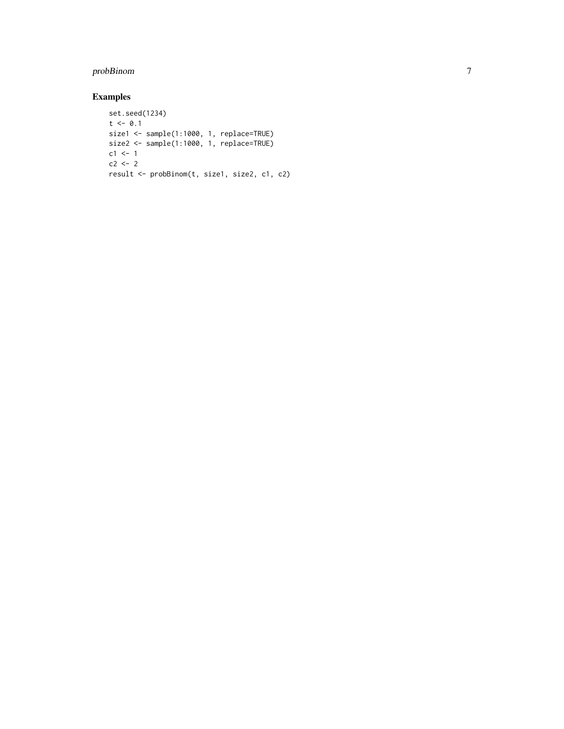#### probBinom

#### Examples

```
set.seed(1234)
t < -0.1size1 <- sample(1:1000, 1, replace=TRUE)
size2 <- sample(1:1000, 1, replace=TRUE)
c1 < -1c2 \leftarrow 2result <- probBinom(t, size1, size2, c1, c2)
```